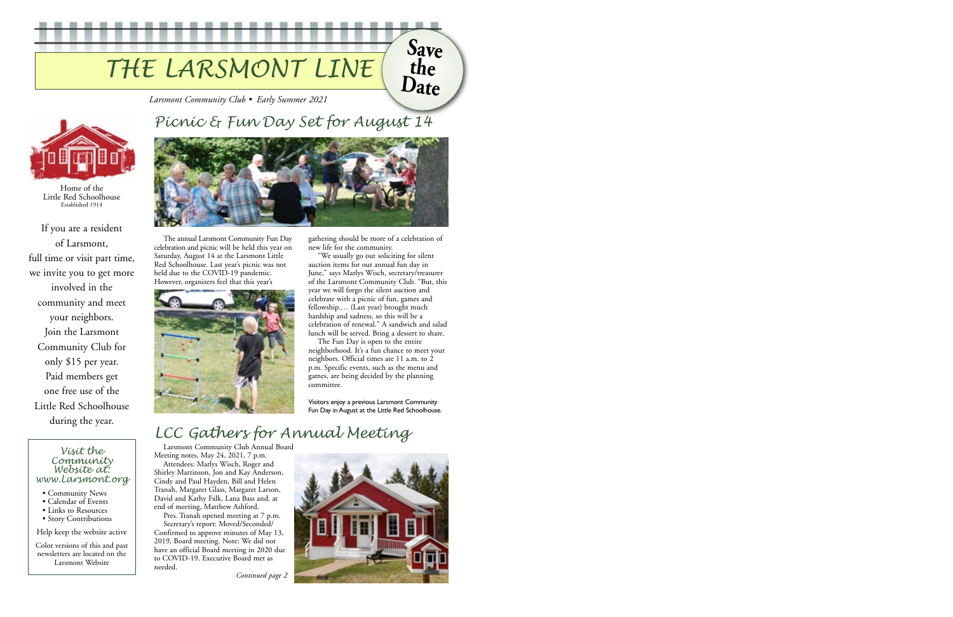# *THE LARSMONT LINE*

*Larsmont Community Club • Early Summer 2021*

If you are a resident of Larsmont, full time or visit part time, we invite you to get more involved in the community and meet your neighbors. Join the Larsmont Community Club for only \$15 per year. Paid members get one free use of the Little Red Schoolhouse during the year.



Home of the Little Red Schoolhouse Established 1914

# *Picnic & Fun Day Set for August 14*

**THE Bill**  m m



The annual Larsmont Community Fun Day celebration and picnic will be held this year on Saturday, August 14 at the Larsmont Little Red Schoolhouse. Last year's picnic was not held due to the COVID-19 pandemic. However, organizers feel that this year's



gathering should be more of a celebration of new life for the community.

"We usually go out soliciting for silent auction items for our annual fun day in June," says Marlys Wisch, secretary/treasurer of the Larsmont Community Club. "But, this year we will forgo the silent auction and celebrate with a picnic of fun, games and fellowship.… (Last year) brought much hardship and sadness, so this will be a celebration of renewal." A sandwich and salad lunch will be served. Bring a dessert to share.

The Fun Day is open to the entire neighborhood. It's a fun chance to meet your neighbors. Official times are 11 a.m. to 2 p.m. Specific events, such as the menu and games, are being decided by the planning committee.

### *Visit the Community Website at: www.Larsmont.org*

- Community News
- Calendar of Events
- Links to Resources
- Story Contributions

Help keep the website active

Color versions of this and past newsletters are located on the Larsmont Website

Visitors enjoy a previous Larsmont Community Fun Day in August at the Little Red Schoolhouse.

# *LCC Gathers for Annual Meeting*

Larsmont Community Club Annual Board Meeting notes, May 24, 2021, 7 p.m.

Attendees: Marlys Wisch, Roger and Shirley Martinson, Jon and Kay Anderson, Cindy and Paul Hayden, Bill and Helen Tranah, Margaret Glass, Margaret Larson, David and Kathy Falk, Lana Bass and, at end of meeting, Matthew Ashford.

Pres. Tranah opened meeting at 7 p.m. Secretary's report: Moved/Seconded/ Confirmed to approve minutes of May 13, 2019, Board meeting. Note: We did not have an official Board meeting in 2020 due to COVID-19. Executive Board met as needed.

*Continued page 2*



**Save**

m

**the**

**Date**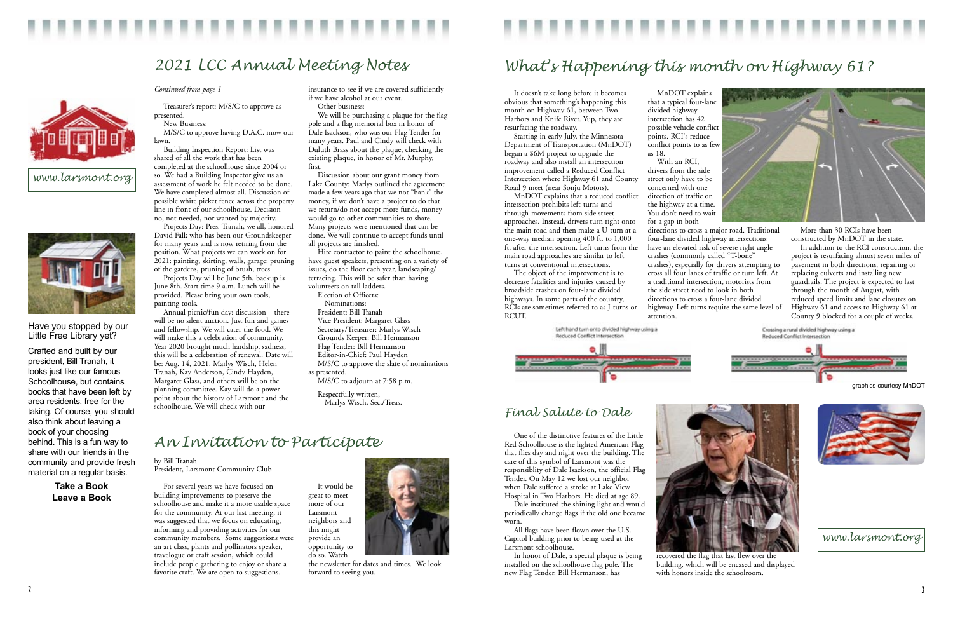It doesn't take long before it becomes obvious that something's happening this month on Highway 61, between Two Harbors and Knife River. Yup, they are resurfacing the roadway.

Starting in early July, the Minnesota Department of Transportation (MnDOT) began a \$6M project to upgrade the roadway and also install an intersection improvement called a Reduced Conflict Intersection where Highway 61 and County Road 9 meet (near Sonju Motors).

drivers from the side street only have to be concerned with one direction of traffic on the highway at a time. You don't need to wait



MnDOT explains that a reduced conflict intersection prohibits left-turns and through-movements from side street approaches. Instead, drivers turn right onto the main road and then make a U-turn at a one-way median opening 400 ft. to 1,000 ft. after the intersection. Left turns from the main road approaches are similar to left turns at conventional intersections.

The object of the improvement is to decrease fatalities and injuries caused by broadside crashes on four-lane divided highways. In some parts of the country, RCIs are sometimes referred to as J-turns or RCUT.

> Left hand turn onto divided highway using a Reduced Conflict Intersection



MnDOT explains that a typical four-lane

divided highway

intersection has 42 possible vehicle conflict points. RCI's reduce conflict points to as few

as 18.

With an RCI,

for a gap in both

directions to cross a major road. Traditional four-lane divided highway intersections have an elevated risk of severe right-angle crashes (commonly called "T-bone" crashes), especially for drivers attempting to cross all four lanes of traffic or turn left. At a traditional intersection, motorists from the side street need to look in both directions to cross a four-lane divided highway. Left turns require the same level of

attention.

More than 30 RCIs have been constructed by MnDOT in the state.

In addition to the RCI construction, the project is resurfacing almost seven miles of pavement in both directions, repairing or replacing culverts and installing new guardrails. The project is expected to last through the month of August, with reduced speed limits and lane closures on Highway 61 and access to Highway 61 at County 9 blocked for a couple of weeks.





*Continued from page 1*

Treasurer's report: M/S/C to approve as presented.

New Business:

M/S/C to approve having D.A.C. mow our lawn.

Building Inspection Report: List was shared of all the work that has been completed at the schoolhouse since 2004 or so. We had a Building Inspector give us an assessment of work he felt needed to be done. We have completed almost all. Discussion of possible white picket fence across the property line in front of our schoolhouse. Decision – no, not needed, nor wanted by majority.

Projects Day: Pres. Tranah, we all, honored David Falk who has been our Groundskeeper for many years and is now retiring from the position. What projects we can work on for 2021: painting, skirting, walls, garage; pruning of the gardens, pruning of brush, trees.

Projects Day will be June 5th, backup is June 8th. Start time 9 a.m. Lunch will be provided. Please bring your own tools, painting tools.

Annual picnic/fun day: discussion – there will be no silent auction. Just fun and games and fellowship. We will cater the food. We will make this a celebration of community. Year 2020 brought much hardship, sadness, this will be a celebration of renewal. Date will be: Aug. 14, 2021. Marlys Wisch, Helen Tranah, Kay Anderson, Cindy Hayden, Margaret Glass, and others will be on the planning committee. Kay will do a power point about the history of Larsmont and the schoolhouse. We will check with our

insurance to see if we are covered sufficiently

if we have alcohol at our event.

Other business:

We will be purchasing a plaque for the flag pole and a flag memorial box in honor of Dale Isackson, who was our Flag Tender for many years. Paul and Cindy will check with Duluth Brass about the plaque, checking the existing plaque, in honor of Mr. Murphy,

first.



Discussion about our grant money from Lake County: Marlys outlined the agreement made a few years ago that we not "bank" the money, if we don't have a project to do that we return/do not accept more funds, money would go to other communities to share. Many projects were mentioned that can be done. We will continue to accept funds until

all projects are finished.

Hire contractor to paint the schoolhouse, have guest speakers, presenting on a variety of issues, do the floor each year, landscaping/ terracing. This will be safer than having

volunteers on tall ladders. Election of Officers: Nominations: President: Bill Tranah

> Vice President: Margaret Glass Secretary/Treasurer: Marlys Wisch Grounds Keeper: Bill Hermanson Flag Tender: Bill Hermanson Editor-in-Chief: Paul Hayden

M/S/C to approve the slate of nominations

as presented.

M/S/C to adjourn at 7:58 p.m.

Respectfully written, Marlys Wisch, Sec./Treas.



## *2021 LCC Annual Meeting Notes*



*www.larsmont.org*



*An Invitation to Participate*

by Bill Tranah President, Larsmont Community Club

For several years we have focused on building improvements to preserve the schoolhouse and make it a more usable space for the community. At our last meeting, it was suggested that we focus on educating, informing and providing activities for our community members. Some suggestions were an art class, plants and pollinators speaker, travelogue or craft session, which could include people gathering to enjoy or share a favorite craft. We are open to suggestions.

It would be great to meet more of our Larsmont neighbors and this might provide an opportunity to do so. Watch

the newsletter for dates and times. We look forward to seeing you.

One of the distinctive features of the Little Red Schoolhouse is the lighted American Flag that flies day and night over the building. The care of this symbol of Larsmont was the responsiblity of Dale Isackson, the official Flag Tender. On May 12 we lost our neighbor when Dale suffered a stroke at Lake View Hospital in Two Harbors. He died at age 89.

Dale instituted the shining light and would periodically change flags if the old one became worn.

All flags have been flown over the U.S. Capitol building prior to being used at the Larsmont schoolhouse.

In honor of Dale, a special plaque is being installed on the schoolhouse flag pole. The new Flag Tender, Bill Hermanson, has





recovered the flag that last flew over the building, which will be encased and displayed with honors inside the schoolroom.



### *Final Salute to Dale*

# *What's Happening this month on Highway 61?*

*www.larsmont.org*

Have you stopped by our Little Free Library yet?

Crafted and built by our president, Bill Tranah, it looks just like our famous Schoolhouse, but contains books that have been left by area residents, free for the taking. Of course, you should also think about leaving a book of your choosing behind. This is a fun way to share with our friends in the community and provide fresh material on a regular basis.

> **Take a Book Leave a Book**

graphics courtesy MnDOT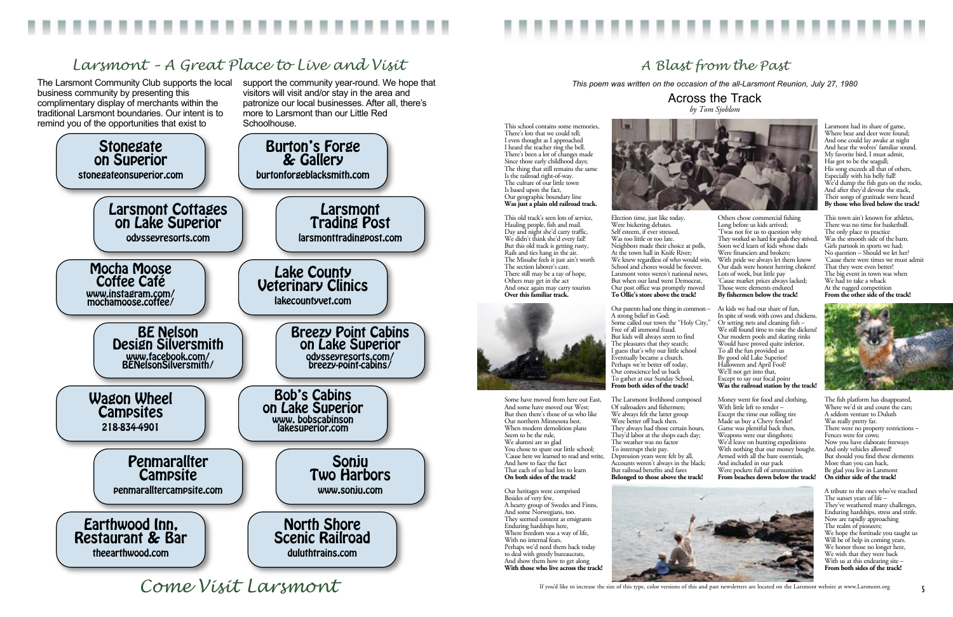## *A Blast from the Past*

The Larsmont Community Club supports the local business community by presenting this complimentary display of merchants within the traditional Larsmont boundaries. Our intent is to remind you of the opportunities that exist to

support the community year-round. We hope that visitors will visit and/or stay in the area and patronize our local businesses. After all, there's more to Larsmont than our Little Red Schoolhouse.





# *Larsmont – A Great Place to Live and Visit*

*Come Visit Larsmont*

*This poem was written on the occasion of the all-Larsmont Reunion, July 27, 1980*

Across the Track *by Tom Sjoblom*

This school contains some memories, There's lots that we could tell; I even thought as I approached I heard the teacher ring the bell. There's been a lot of changes made Since those early childhood days; The thing that still remains the same Is the railroad right-of-way. The culture of our little town Is based upon the fact, Our geographic boundary line **Was just a plain old railroad track.**

This old track's seen lots of service, Hauling people, fish and mail. Day and night she'd carry traffic, We didn't think she'd every fail! But this old track is getting rusty, Rails and ties hang in the air. The Missabe feels it just ain't worth The section laborer's care. There still may be a ray of hope, Others may get in the act And once again may carry tourists **Over this familiar track.**



Some have moved from here out East, And some have moved out West; But then there's those of us who like Our northern Minnesota best. When modern demolition plans Seem to be the rule, We alumni are so glad You chose to spare our little school; 'Cause here we learned to read and write, And how to face the fact That each of us had lots to learn **On both sides of the track!**

Our heritages were comprised Besides of very few, A hearty group of Swedes and Finns, And some Norwegians, too. They seemed content as emigrants Enduring hardships here, Where freedom was a way of life, With no internal fears. Perhaps we'd need them back today to deal with greedy bureaucrats, And show them how to get along **With those who live across the track!**



Election time, just like today, Were bickering debates. Self esteem, if ever stressed, Was too little or too late. Neighbors made their choice at polls, At the town hall in Knife River; We knew regardless of who would win, School and chores would be forever. Larsmont votes weren't national news, But when our land went Democrat, Our post office was promptly moved **To Ollie's store above the track!**

Our parents had one thing in common – A strong belief in God; Some called our town the "Holy City," Free of all immoral fraud. But kids will always seem to find The pleasures that they search; I guess that's why our little school Eventually became a church. Perhaps we're better off today, Our conscience led us back To gather at our Sunday School, **From both sides of the track!**

Others chose commercial fishing Long before us kids arrived; 'Twas not for us to question why They worked so hard for goals they strived. Soon we'd learn of kids whose dads Were financiers and brokers; With pride we always let them know Our dads were honest herring chokers! Lots of work, but little pay 'Cause market prices always lacked; Those were elements endured **By fishermen below the track!**

The Larsmont livelihood composed Of railroaders and fishermen; We always felt the latter group Were better off back then. They always had those certain hours, They'd labor at the shops each day; The weather was no factor To interrupt their pay. Depression years were felt by all, Accounts weren't always in the black; But railroad benefits and fares **Belonged to those above the track!** Money went for food and clothing, With little left to render -Except the time our rolling tire Made us buy a Chevy fender! Game was plentiful back then, Weapons were our slingshots; We'd leave on hunting expeditions With nothing that our money bought. Armed with all the bare essentials, And included in our pack Were pockets full of ammunition **From beaches down below the track!**



As kids we had our share of fun, In spite of work with cows and chickens, Or setting nets and cleaning fish – We still found time to raise the dickens! Our modern pools and skating rinks Would have proved quite inferior, To all the fun provided us By good old Lake Superior! Halloween and April Fool? We'll not get into that, Except to say our focal point **Was the railroad station by the track!**

Larsmont had its share of game, Where bear and deer were found; And one could lay awake at night And hear the wolves' familiar sound. My favorite bird, I must admit, Has got to be the seagull; His song exceeds all that of others, Especially with his belly full! We'd dump the fish guts on the rocks, And after they'd devour the stack, Their songs of gratitude were heard **By those who lived below the track!**

This town ain't known for athletes, There was no time for basketball. The only place to practice Was the smooth side of the barn. Girls partook in sports we had; No question – Should we let her? 'Cause there were times we must admit That they were even better! The big event in town was when We had to take a whack At the rugged competition **From the other side of the track!**



The fish platform has disappeared, Where we'd sit and count the cars; A seldom venture to Duluth Was really pretty far. There were no property restrictions – Fences were for cows; Now you have elaborate freeways And only vehicles allowed! But should you find these elements More than you can hack, Be glad you live in Larsmont **On either side of the track!**

A tribute to the ones who've reached The sunset years of life – They've weathered many challenges, Enduring hardships, stress and strife. Now are rapidly approaching The realm of pioneers; We hope the fortitude you taught us Will be of help in coming years. We honor those no longer here, We wish that they were back With us at this endearing site – **From both sides of the track!**

If you'd like to increase the size of this type, color versions of this and past newsletters are located on the Larsmont website at www.Larsmont.org